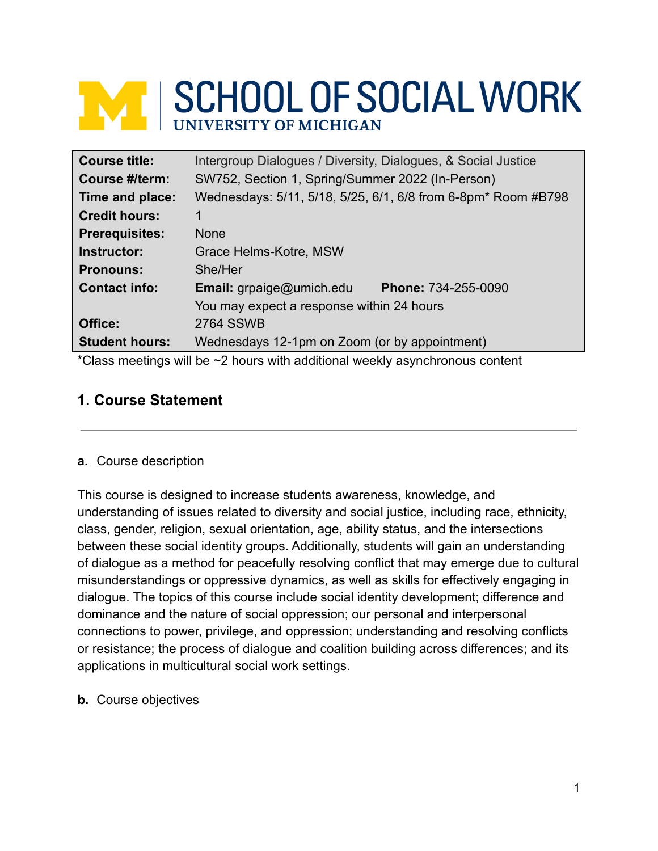# **WE SCHOOL OF SOCIAL WORK**

| <b>Course title:</b>  | Intergroup Dialogues / Diversity, Dialogues, & Social Justice                         |  |  |
|-----------------------|---------------------------------------------------------------------------------------|--|--|
| Course #/term:        | SW752, Section 1, Spring/Summer 2022 (In-Person)                                      |  |  |
| Time and place:       | Wednesdays: 5/11, 5/18, 5/25, 6/1, 6/8 from 6-8pm* Room #B798                         |  |  |
| <b>Credit hours:</b>  | 1                                                                                     |  |  |
| <b>Prerequisites:</b> | <b>None</b>                                                                           |  |  |
| Instructor:           | Grace Helms-Kotre, MSW                                                                |  |  |
| <b>Pronouns:</b>      | She/Her                                                                               |  |  |
| <b>Contact info:</b>  | <b>Email:</b> grpaige@umich.edu<br>Phone: 734-255-0090                                |  |  |
|                       | You may expect a response within 24 hours                                             |  |  |
| Office:               | <b>2764 SSWB</b>                                                                      |  |  |
| <b>Student hours:</b> | Wednesdays 12-1pm on Zoom (or by appointment)                                         |  |  |
|                       | *Class mootings will bo $\approx$ ? bours with additional wookly asynchronous contant |  |  |

Glass meetings will be  $\sim$ 2 hours with additional weekly asynchronous content

# **1. Course Statement**

## **a.** Course description

This course is designed to increase students awareness, knowledge, and understanding of issues related to diversity and social justice, including race, ethnicity, class, gender, religion, sexual orientation, age, ability status, and the intersections between these social identity groups. Additionally, students will gain an understanding of dialogue as a method for peacefully resolving conflict that may emerge due to cultural misunderstandings or oppressive dynamics, as well as skills for effectively engaging in dialogue. The topics of this course include social identity development; difference and dominance and the nature of social oppression; our personal and interpersonal connections to power, privilege, and oppression; understanding and resolving conflicts or resistance; the process of dialogue and coalition building across differences; and its applications in multicultural social work settings.

**b.** Course objectives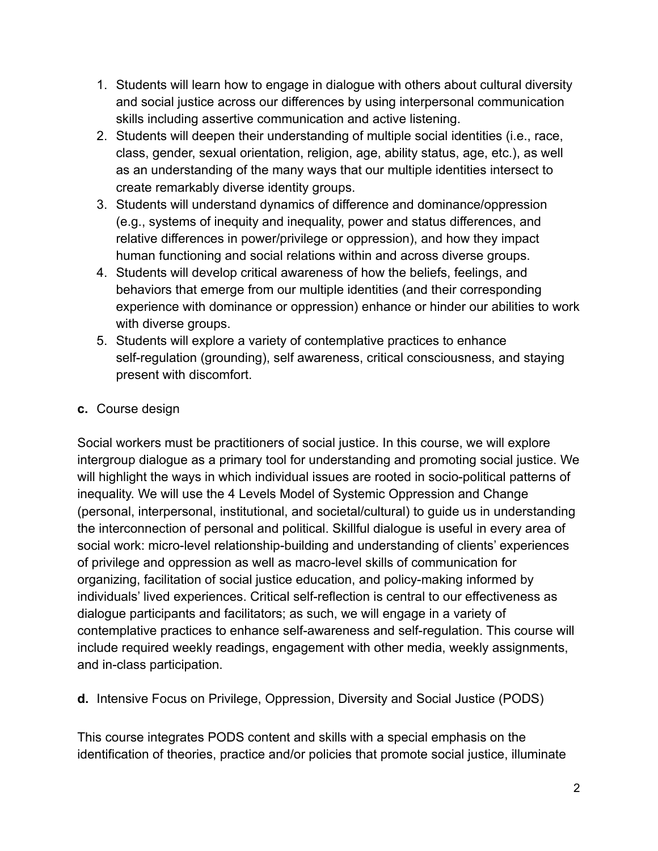- 1. Students will learn how to engage in dialogue with others about cultural diversity and social justice across our differences by using interpersonal communication skills including assertive communication and active listening.
- 2. Students will deepen their understanding of multiple social identities (i.e., race, class, gender, sexual orientation, religion, age, ability status, age, etc.), as well as an understanding of the many ways that our multiple identities intersect to create remarkably diverse identity groups.
- 3. Students will understand dynamics of difference and dominance/oppression (e.g., systems of inequity and inequality, power and status differences, and relative differences in power/privilege or oppression), and how they impact human functioning and social relations within and across diverse groups.
- 4. Students will develop critical awareness of how the beliefs, feelings, and behaviors that emerge from our multiple identities (and their corresponding experience with dominance or oppression) enhance or hinder our abilities to work with diverse groups.
- 5. Students will explore a variety of contemplative practices to enhance self-regulation (grounding), self awareness, critical consciousness, and staying present with discomfort.

# **c.** Course design

Social workers must be practitioners of social justice. In this course, we will explore intergroup dialogue as a primary tool for understanding and promoting social justice. We will highlight the ways in which individual issues are rooted in socio-political patterns of inequality. We will use the 4 Levels Model of Systemic Oppression and Change (personal, interpersonal, institutional, and societal/cultural) to guide us in understanding the interconnection of personal and political. Skillful dialogue is useful in every area of social work: micro-level relationship-building and understanding of clients' experiences of privilege and oppression as well as macro-level skills of communication for organizing, facilitation of social justice education, and policy-making informed by individuals' lived experiences. Critical self-reflection is central to our effectiveness as dialogue participants and facilitators; as such, we will engage in a variety of contemplative practices to enhance self-awareness and self-regulation. This course will include required weekly readings, engagement with other media, weekly assignments, and in-class participation.

**d.** Intensive Focus on Privilege, Oppression, Diversity and Social Justice (PODS)

This course integrates PODS content and skills with a special emphasis on the identification of theories, practice and/or policies that promote social justice, illuminate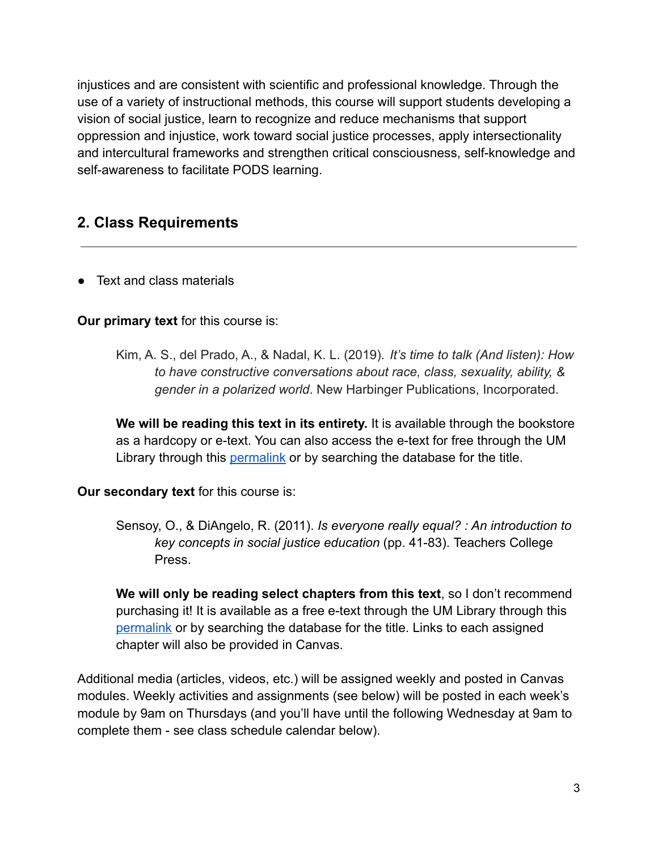injustices and are consistent with scientific and professional knowledge. Through the use of a variety of instructional methods, this course will support students developing a vision of social justice, learn to recognize and reduce mechanisms that support oppression and injustice, work toward social justice processes, apply intersectionality and intercultural frameworks and strengthen critical consciousness, self-knowledge and self-awareness to facilitate PODS learning.

# **2. Class Requirements**

**●** Text and class materials

### **Our primary text** for this course is:

Kim, A. S., del Prado, A., & Nadal, K. L. (2019). *It's time to talk (And listen): How to have constructive conversations about race, class, sexuality, ability, & gender in a polarized world*. New Harbinger Publications, Incorporated.

**We will be reading this text in its entirety.** It is available through the bookstore as a hardcopy or e-text. You can also access the e-text for free through the UM Library through this [permalink](http://proxy.lib.umich.edu/login?url=https://search.ebscohost.com/login.aspx?direct=true&db=e700xna&AN=1991712&site=ehost-live&scope=site) or by searching the database for the title.

#### **Our secondary text** for this course is:

Sensoy, O., & DiAngelo, R. (2011). *Is everyone really equal? : An introduction to key concepts in social justice education* (pp. 41-83). Teachers College Press.

**We will only be reading select chapters from this text**, so I don't recommend purchasing it! It is available as a free e-text through the UM Library through this [permalink](https://ebookcentral-proquest-com.proxy.lib.umich.edu/lib/umichigan/reader.action?docID=3544976&ppg=145) or by searching the database for the title. Links to each assigned chapter will also be provided in Canvas.

Additional media (articles, videos, etc.) will be assigned weekly and posted in Canvas modules. Weekly activities and assignments (see below) will be posted in each week's module by 9am on Thursdays (and you'll have until the following Wednesday at 9am to complete them - see class schedule calendar below).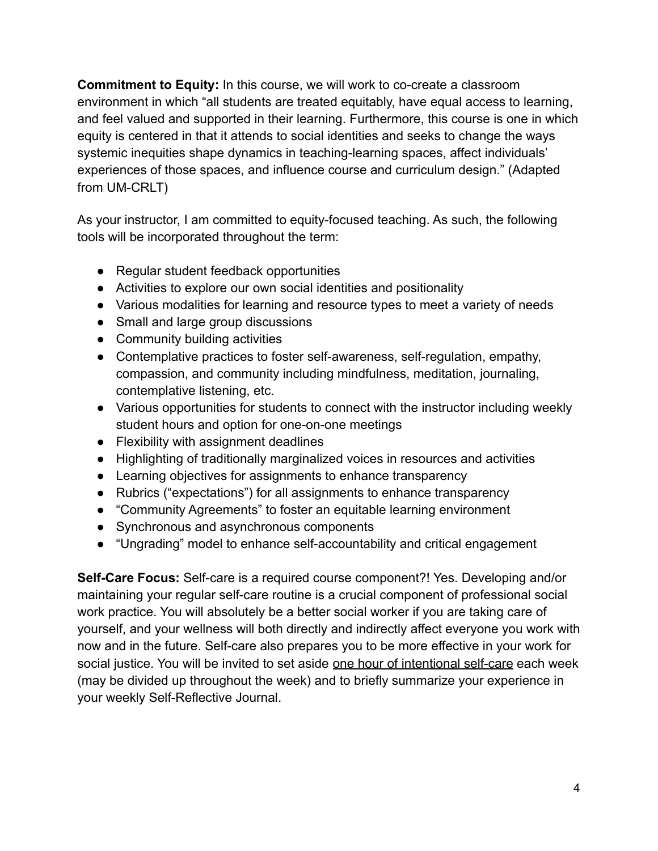**Commitment to Equity:** In this course, we will work to co-create a classroom environment in which "all students are treated equitably, have equal access to learning, and feel valued and supported in their learning. Furthermore, this course is one in which equity is centered in that it attends to social identities and seeks to change the ways systemic inequities shape dynamics in teaching-learning spaces, affect individuals' experiences of those spaces, and influence course and curriculum design." (Adapted from UM-CRLT)

As your instructor, I am committed to equity-focused teaching. As such, the following tools will be incorporated throughout the term:

- Regular student feedback opportunities
- Activities to explore our own social identities and positionality
- Various modalities for learning and resource types to meet a variety of needs
- Small and large group discussions
- Community building activities
- Contemplative practices to foster self-awareness, self-regulation, empathy, compassion, and community including mindfulness, meditation, journaling, contemplative listening, etc.
- Various opportunities for students to connect with the instructor including weekly student hours and option for one-on-one meetings
- Flexibility with assignment deadlines
- Highlighting of traditionally marginalized voices in resources and activities
- Learning objectives for assignments to enhance transparency
- Rubrics ("expectations") for all assignments to enhance transparency
- "Community Agreements" to foster an equitable learning environment
- Synchronous and asynchronous components
- "Ungrading" model to enhance self-accountability and critical engagement

**Self-Care Focus:** Self-care is a required course component?! Yes. Developing and/or maintaining your regular self-care routine is a crucial component of professional social work practice. You will absolutely be a better social worker if you are taking care of yourself, and your wellness will both directly and indirectly affect everyone you work with now and in the future. Self-care also prepares you to be more effective in your work for social justice. You will be invited to set aside one hour of intentional self-care each week (may be divided up throughout the week) and to briefly summarize your experience in your weekly Self-Reflective Journal.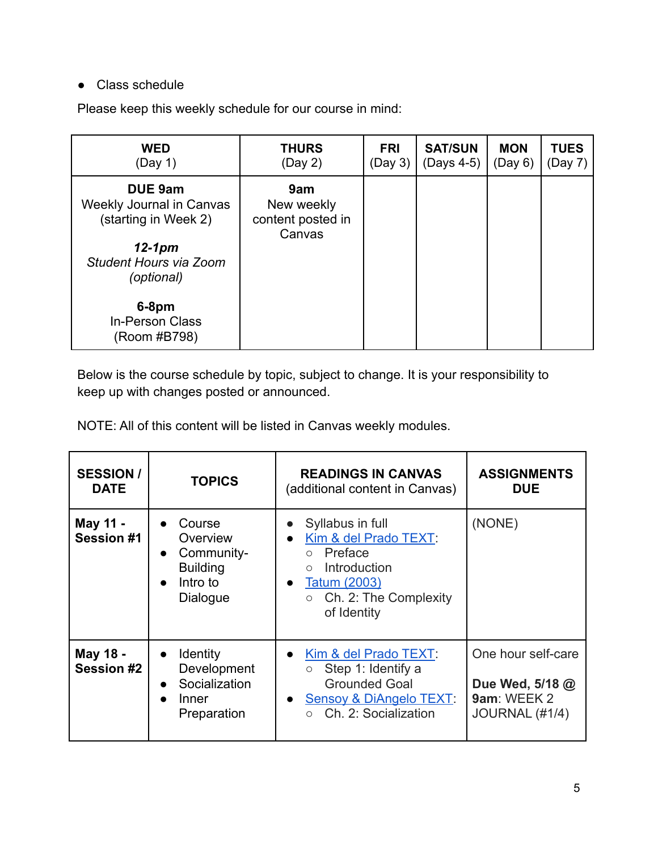## **●** Class schedule

Please keep this weekly schedule for our course in mind:

| <b>WED</b><br>(Day 1)                                                                                                                                         | <b>THURS</b><br>(Day 2)                          | <b>FRI</b><br>(Day 3) | <b>SAT/SUN</b><br>(Days 4-5) | <b>MON</b><br>(Day 6) | <b>TUES</b><br>(Day 7) |
|---------------------------------------------------------------------------------------------------------------------------------------------------------------|--------------------------------------------------|-----------------------|------------------------------|-----------------------|------------------------|
| <b>DUE 9am</b><br>Weekly Journal in Canvas<br>(starting in Week 2)<br>$12-1$ pm<br>Student Hours via Zoom<br>(optional)<br>$6-8$ pm<br><b>In-Person Class</b> | 9am<br>New weekly<br>content posted in<br>Canvas |                       |                              |                       |                        |
| (Room #B798)                                                                                                                                                  |                                                  |                       |                              |                       |                        |

Below is the course schedule by topic, subject to change. It is your responsibility to keep up with changes posted or announced.

NOTE: All of this content will be listed in Canvas weekly modules.

| <b>SESSION /</b><br><b>DATE</b> | <b>TOPICS</b>                                                                                                      | <b>READINGS IN CANVAS</b><br>(additional content in Canvas)                                                                                                                                 | <b>ASSIGNMENTS</b><br><b>DUE</b>                                       |
|---------------------------------|--------------------------------------------------------------------------------------------------------------------|---------------------------------------------------------------------------------------------------------------------------------------------------------------------------------------------|------------------------------------------------------------------------|
| May 11 -<br><b>Session #1</b>   | Course<br>$\bullet$<br>Overview<br>Community-<br>$\bullet$<br><b>Building</b><br>Intro to<br>$\bullet$<br>Dialogue | Syllabus in full<br>Kim & del Prado TEXT:<br>$\bullet$<br>Preface<br>$\circ$<br>Introduction<br>$\circ$<br><b>Tatum (2003)</b><br>$\bullet$<br>$\circ$ Ch. 2: The Complexity<br>of Identity | (NONE)                                                                 |
| May 18 -<br><b>Session #2</b>   | <b>Identity</b><br>$\bullet$<br>Development<br>Socialization<br>Inner<br>Preparation                               | Kim & del Prado TEXT:<br>Step 1: Identify a<br>$\circ$<br><b>Grounded Goal</b><br>Sensoy & DiAngelo TEXT.<br>Ch. 2: Socialization                                                           | One hour self-care<br>Due Wed, 5/18 @<br>9am: WEEK 2<br>JOURNAL (#1/4) |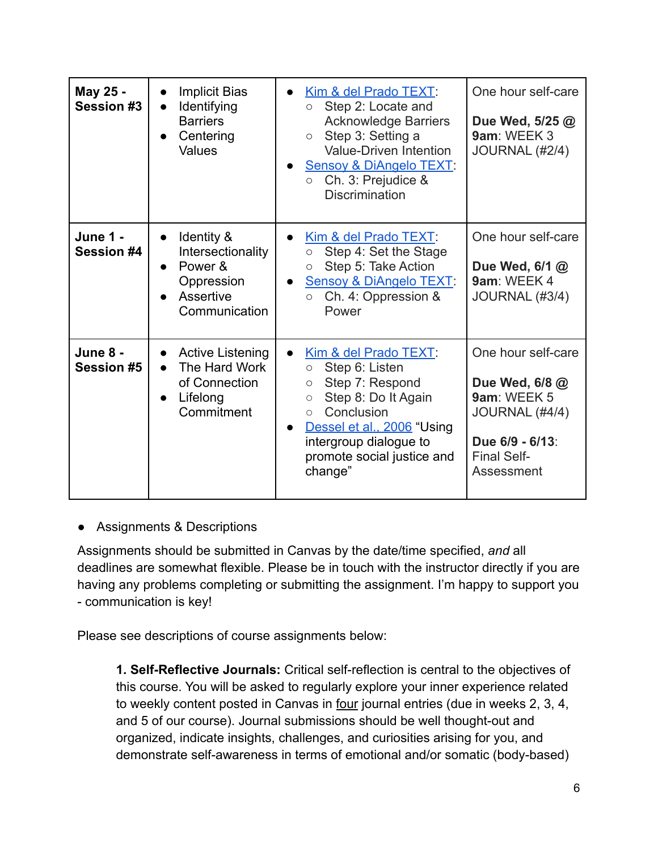| May 25 -<br><b>Session #3</b> | <b>Implicit Bias</b><br>$\bullet$<br>Identifying<br>$\bullet$<br><b>Barriers</b><br>Centering<br><b>Values</b>   | Kim & del Prado TEXT.<br>Step 2: Locate and<br>$\bigcirc$<br><b>Acknowledge Barriers</b><br>Step 3: Setting a<br>$\circ$<br><b>Value-Driven Intention</b><br>Sensoy & DiAngelo TEXT.<br>Ch. 3: Prejudice &<br>$\circ$<br><b>Discrimination</b> | One hour self-care<br>Due Wed, 5/25 @<br>9am: WEEK 3<br>JOURNAL (#2/4)                                                       |
|-------------------------------|------------------------------------------------------------------------------------------------------------------|------------------------------------------------------------------------------------------------------------------------------------------------------------------------------------------------------------------------------------------------|------------------------------------------------------------------------------------------------------------------------------|
| <b>June 1 -</b><br>Session #4 | Identity &<br>$\bullet$<br>Intersectionality<br>Power &<br>$\bullet$<br>Oppression<br>Assertive<br>Communication | Kim & del Prado TEXT:<br>$\bullet$<br>Step 4: Set the Stage<br>$\circ$<br>Step 5: Take Action<br>$\circ$<br>Sensoy & DiAngelo TEXT.<br>$\bullet$<br>Ch. 4: Oppression &<br>$\circ$<br>Power                                                    | One hour self-care<br>Due Wed, 6/1 @<br>9am: WEEK 4<br>JOURNAL (#3/4)                                                        |
| June 8 -<br><b>Session #5</b> | <b>Active Listening</b><br>$\bullet$<br>The Hard Work<br>$\bullet$<br>of Connection<br>Lifelong<br>Commitment    | Kim & del Prado TEXT:<br>Step 6: Listen<br>$\circ$<br>Step 7: Respond<br>O<br>Step 8: Do It Again<br>$\circ$<br>Conclusion<br>$\circ$<br>Dessel et al., 2006 "Using<br>intergroup dialogue to<br>promote social justice and<br>change"         | One hour self-care<br>Due Wed, 6/8 @<br>9am: WEEK 5<br>JOURNAL (#4/4)<br>Due 6/9 - 6/13:<br><b>Final Self-</b><br>Assessment |

## **●** Assignments & Descriptions

Assignments should be submitted in Canvas by the date/time specified, *and* all deadlines are somewhat flexible. Please be in touch with the instructor directly if you are having any problems completing or submitting the assignment. I'm happy to support you - communication is key!

Please see descriptions of course assignments below:

**1. Self-Reflective Journals:** Critical self-reflection is central to the objectives of this course. You will be asked to regularly explore your inner experience related to weekly content posted in Canvas in four journal entries (due in weeks 2, 3, 4, and 5 of our course). Journal submissions should be well thought-out and organized, indicate insights, challenges, and curiosities arising for you, and demonstrate self-awareness in terms of emotional and/or somatic (body-based)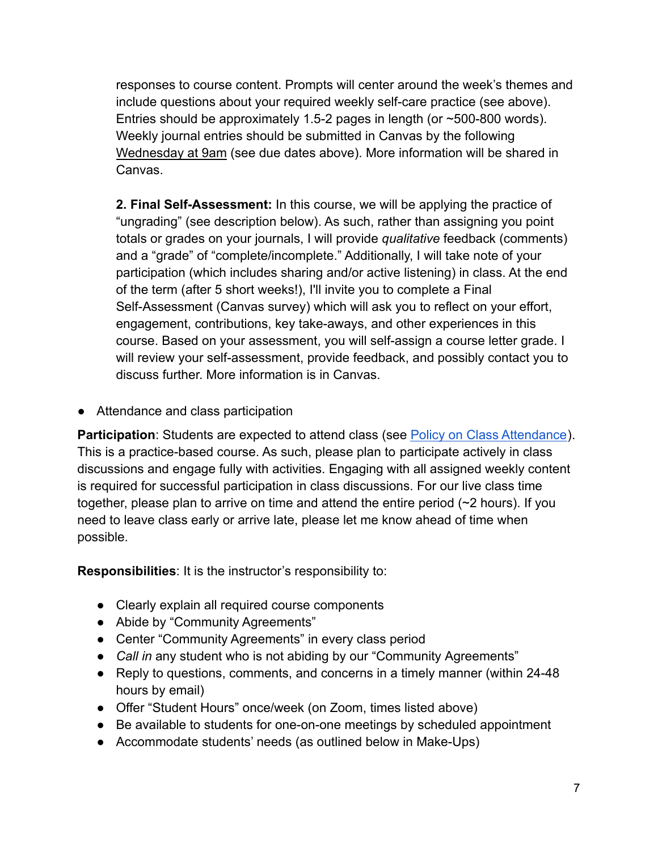responses to course content. Prompts will center around the week's themes and include questions about your required weekly self-care practice (see above). Entries should be approximately 1.5-2 pages in length (or  $\sim$  500-800 words). Weekly journal entries should be submitted in Canvas by the following Wednesday at 9am (see due dates above). More information will be shared in Canvas.

**2. Final Self-Assessment:** In this course, we will be applying the practice of "ungrading" (see description below). As such, rather than assigning you point totals or grades on your journals, I will provide *qualitative* feedback (comments) and a "grade" of "complete/incomplete." Additionally, I will take note of your participation (which includes sharing and/or active listening) in class. At the end of the term (after 5 short weeks!), I'll invite you to complete a Final Self-Assessment (Canvas survey) which will ask you to reflect on your effort, engagement, contributions, key take-aways, and other experiences in this course. Based on your assessment, you will self-assign a course letter grade. I will review your self-assessment, provide feedback, and possibly contact you to discuss further. More information is in Canvas.

**●** Attendance and class participation

**Participation**: Students are expected to attend class (see [Policy on Class Attendance](https://ssw.umich.edu/msw-student-guide/section/1.09.00/17/policy-on-class-attendance)). This is a practice-based course. As such, please plan to participate actively in class discussions and engage fully with activities. Engaging with all assigned weekly content is required for successful participation in class discussions. For our live class time together, please plan to arrive on time and attend the entire period (~2 hours). If you need to leave class early or arrive late, please let me know ahead of time when possible.

**Responsibilities**: It is the instructor's responsibility to:

- Clearly explain all required course components
- Abide by "Community Agreements"
- Center "Community Agreements" in every class period
- *Call in* any student who is not abiding by our "Community Agreements"
- Reply to questions, comments, and concerns in a timely manner (within 24-48 hours by email)
- Offer "Student Hours" once/week (on Zoom, times listed above)
- Be available to students for one-on-one meetings by scheduled appointment
- Accommodate students' needs (as outlined below in Make-Ups)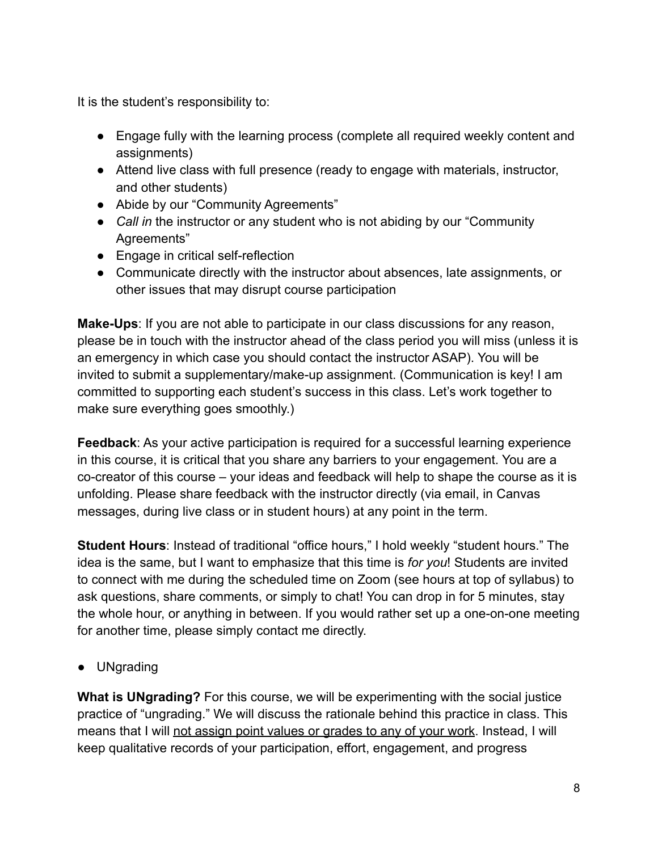It is the student's responsibility to:

- Engage fully with the learning process (complete all required weekly content and assignments)
- Attend live class with full presence (ready to engage with materials, instructor, and other students)
- Abide by our "Community Agreements"
- *Call in* the instructor or any student who is not abiding by our "Community Agreements"
- Engage in critical self-reflection
- Communicate directly with the instructor about absences, late assignments, or other issues that may disrupt course participation

**Make-Ups**: If you are not able to participate in our class discussions for any reason, please be in touch with the instructor ahead of the class period you will miss (unless it is an emergency in which case you should contact the instructor ASAP). You will be invited to submit a supplementary/make-up assignment. (Communication is key! I am committed to supporting each student's success in this class. Let's work together to make sure everything goes smoothly.)

**Feedback**: As your active participation is required for a successful learning experience in this course, it is critical that you share any barriers to your engagement. You are a co-creator of this course – your ideas and feedback will help to shape the course as it is unfolding. Please share feedback with the instructor directly (via email, in Canvas messages, during live class or in student hours) at any point in the term.

**Student Hours**: Instead of traditional "office hours," I hold weekly "student hours." The idea is the same, but I want to emphasize that this time is *for you*! Students are invited to connect with me during the scheduled time on Zoom (see hours at top of syllabus) to ask questions, share comments, or simply to chat! You can drop in for 5 minutes, stay the whole hour, or anything in between. If you would rather set up a one-on-one meeting for another time, please simply contact me directly.

**●** UNgrading

**What is UNgrading?** For this course, we will be experimenting with the social justice practice of "ungrading." We will discuss the rationale behind this practice in class. This means that I will not assign point values or grades to any of your work. Instead, I will keep qualitative records of your participation, effort, engagement, and progress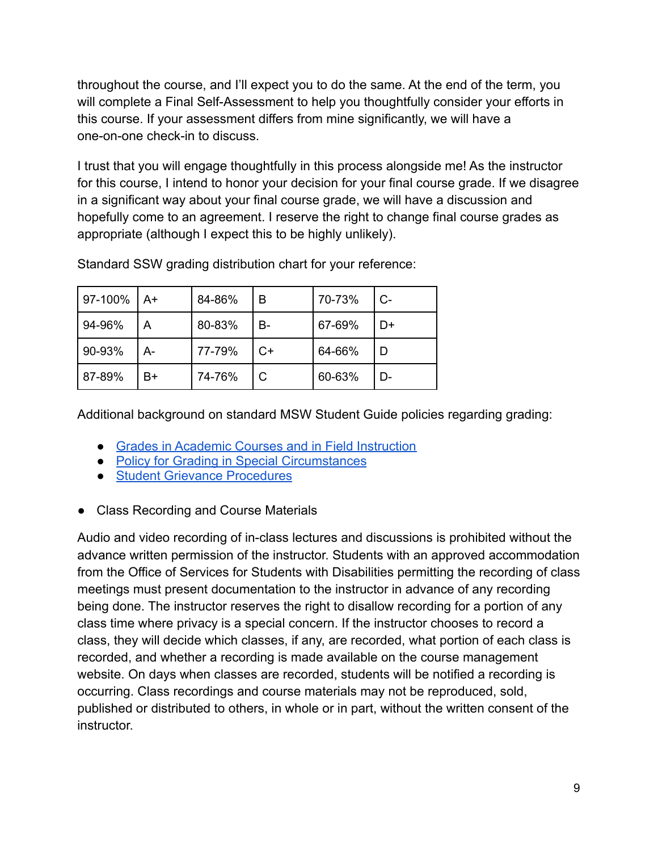throughout the course, and I'll expect you to do the same. At the end of the term, you will complete a Final Self-Assessment to help you thoughtfully consider your efforts in this course. If your assessment differs from mine significantly, we will have a one-on-one check-in to discuss.

I trust that you will engage thoughtfully in this process alongside me! As the instructor for this course, I intend to honor your decision for your final course grade. If we disagree in a significant way about your final course grade, we will have a discussion and hopefully come to an agreement. I reserve the right to change final course grades as appropriate (although I expect this to be highly unlikely).

| 97-100% A+ |      | 84-86% | B  | 70-73% | C- |
|------------|------|--------|----|--------|----|
| 94-96%     | A    | 80-83% | B- | 67-69% | D+ |
| 90-93%     | $A-$ | 77-79% | C+ | 64-66% | D  |
| 87-89%     | B+   | 74-76% |    | 60-63% | D- |

Standard SSW grading distribution chart for your reference:

Additional background on standard MSW Student Guide policies regarding grading:

- [Grades in Academic Courses and in Field Instruction](https://ssw.umich.edu/msw-student-guide/chapter/1.07/grades-in-academic-courses-and-in-field-education)
- [Policy for Grading in Special Circumstances](https://ssw.umich.edu/msw-student-guide/section/1.08.01/15/grades-for-special-circumstances)
- [Student Grievance Procedures](https://ssw.umich.edu/my-ssw/msw-forms/grievance-process)
- **●** Class Recording and Course Materials

Audio and video recording of in-class lectures and discussions is prohibited without the advance written permission of the instructor. Students with an approved accommodation from the Office of Services for Students with Disabilities permitting the recording of class meetings must present documentation to the instructor in advance of any recording being done. The instructor reserves the right to disallow recording for a portion of any class time where privacy is a special concern. If the instructor chooses to record a class, they will decide which classes, if any, are recorded, what portion of each class is recorded, and whether a recording is made available on the course management website. On days when classes are recorded, students will be notified a recording is occurring. Class recordings and course materials may not be reproduced, sold, published or distributed to others, in whole or in part, without the written consent of the instructor.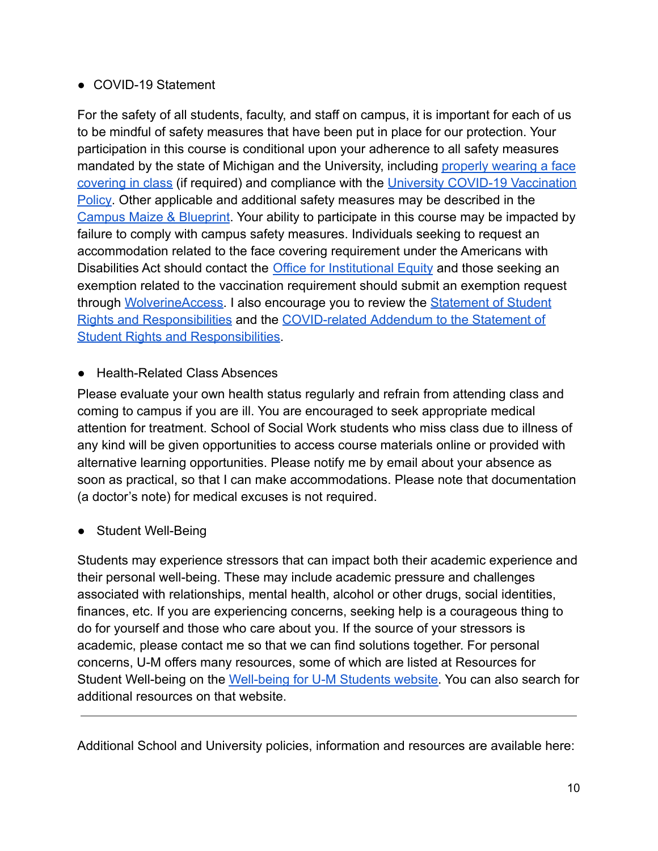# ● COVID-19 Statement

For the safety of all students, faculty, and staff on campus, it is important for each of us to be mindful of safety measures that have been put in place for our protection. Your participation in this course is conditional upon your adherence to all safety measures mandated by the state of Michigan and the University, including [properly wearing a face](https://ehs.umich.edu/wp-content/uploads/2020/07/U-M-Face-Covering-Policy-for-COVID-19.pdf) [covering in class](https://ehs.umich.edu/wp-content/uploads/2020/07/U-M-Face-Covering-Policy-for-COVID-19.pdf) (if required) and compliance with the [University COVID-19 Vaccination](https://ehs.umich.edu/wp-content/uploads/2021/07/COVID-19_Vaccination_Policy.pdf) [Policy](https://ehs.umich.edu/wp-content/uploads/2021/07/COVID-19_Vaccination_Policy.pdf). Other applicable and additional safety measures may be described in the [Campus Maize & Blueprint](https://campusblueprint.umich.edu/students). Your ability to participate in this course may be impacted by failure to comply with campus safety measures. Individuals seeking to request an accommodation related to the face covering requirement under the Americans with Disabilities Act should contact the [Office for Institutional](https://oie.umich.edu/american-with-disabilities-act-ada/) Equity and those seeking an exemption related to the vaccination requirement should submit an exemption request through [WolverineAccess.](https://wolverineaccess.umich.edu/collection/all/covid-19) I also encourage you to review the [Statement of Student](https://oscr.umich.edu/statement#1) [Rights and Responsibilities](https://oscr.umich.edu/statement#1) and the COVID-related [Addendum to the Statement of](https://oscr.umich.edu/sites/oscr.umich.edu/files/2020_statement_addendum_final_approved.pdf) **[Student Rights and Responsibilities.](https://oscr.umich.edu/sites/oscr.umich.edu/files/2020_statement_addendum_final_approved.pdf)** 

● Health-Related Class Absences

Please evaluate your own health status regularly and refrain from attending class and coming to campus if you are ill. You are encouraged to seek appropriate medical attention for treatment. School of Social Work students who miss class due to illness of any kind will be given opportunities to access course materials online or provided with alternative learning opportunities. Please notify me by email about your absence as soon as practical, so that I can make accommodations. Please note that documentation (a doctor's note) for medical excuses is not required.

# ● Student Well-Being

Students may experience stressors that can impact both their academic experience and their personal well-being. These may include academic pressure and challenges associated with relationships, mental health, alcohol or other drugs, social identities, finances, etc. If you are experiencing concerns, seeking help is a courageous thing to do for yourself and those who care about you. If the source of your stressors is academic, please contact me so that we can find solutions together. For personal concerns, U-M offers many resources, some of which are listed at [Resources for](https://wellbeing.studentlife.umich.edu/resources-list) [Student Well-being](https://wellbeing.studentlife.umich.edu/resources-list) on the [Well-being for U-M Students](https://wellbeing.studentlife.umich.edu/) website. You can also search for additional resources on that website.

Additional School and University policies, information and resources are available here: